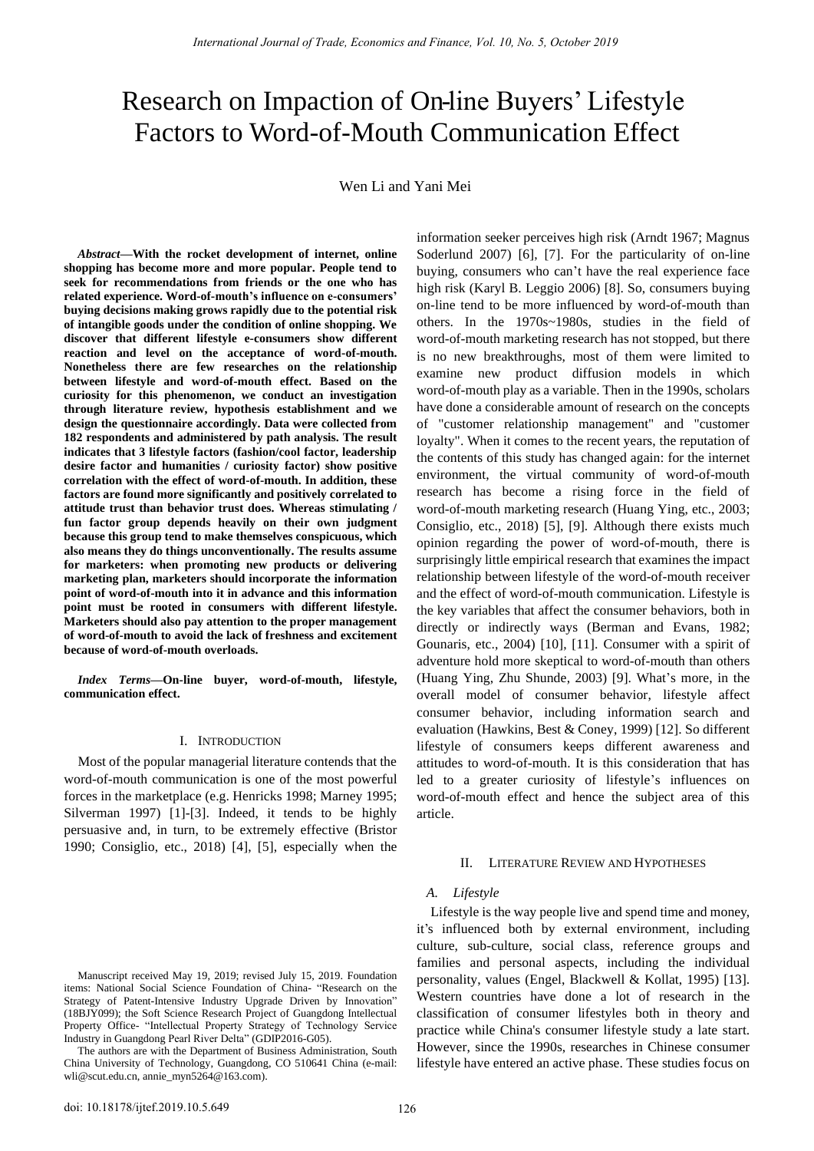# Research on Impaction of On-line Buyers' Lifestyle Factors to Word-of-Mouth Communication Effect

Wen Li and Yani Mei

*Abstract***—With the rocket development of internet, online shopping has become more and more popular. People tend to seek for recommendations from friends or the one who has related experience. Word-of-mouth's influence on e-consumers' buying decisions making grows rapidly due to the potential risk of intangible goods under the condition of online shopping. We discover that different lifestyle e-consumers show different reaction and level on the acceptance of word-of-mouth. Nonetheless there are few researches on the relationship between lifestyle and word-of-mouth effect. Based on the curiosity for this phenomenon, we conduct an investigation through literature review, hypothesis establishment and we design the questionnaire accordingly. Data were collected from 182 respondents and administered by path analysis. The result indicates that 3 lifestyle factors (fashion/cool factor, leadership desire factor and humanities / curiosity factor) show positive correlation with the effect of word-of-mouth. In addition, these factors are found more significantly and positively correlated to attitude trust than behavior trust does. Whereas stimulating / fun factor group depends heavily on their own judgment because this group tend to make themselves conspicuous, which also means they do things unconventionally. The results assume for marketers: when promoting new products or delivering marketing plan, marketers should incorporate the information point of word-of-mouth into it in advance and this information point must be rooted in consumers with different lifestyle. Marketers should also pay attention to the proper management of word-of-mouth to avoid the lack of freshness and excitement because of word-of-mouth overloads.**

*Index Terms***—On-line buyer, word-of-mouth, lifestyle, communication effect.**

# I. INTRODUCTION

Most of the popular managerial literature contends that the word-of-mouth communication is one of the most powerful forces in the marketplace (e.g. Henricks 1998; Marney 1995; Silverman 1997) [1]-[3]. Indeed, it tends to be highly persuasive and, in turn, to be extremely effective (Bristor 1990; Consiglio, etc., 2018) [4], [5], especially when the

Manuscript received May 19, 2019; revised July 15, 2019. Foundation items: National Social Science Foundation of China- "Research on the Strategy of Patent-Intensive Industry Upgrade Driven by Innovation" (18BJY099); the Soft Science Research Project of Guangdong Intellectual Property Office- "Intellectual Property Strategy of Technology Service Industry in Guangdong Pearl River Delta" (GDIP2016-G05).

The authors are with the Department of Business Administration, South China University of Technology, Guangdong, CO 510641 China (e-mail: [wli@scut.edu.cn,](mailto:wli@scut.edu.cn) annie\_myn5264@163.com).

information seeker perceives high risk (Arndt 1967; Magnus Soderlund 2007) [6], [7]. For the particularity of on-line buying, consumers who can't have the real experience face high risk (Karyl B. Leggio 2006) [8]. So, consumers buying on-line tend to be more influenced by word-of-mouth than others. In the 1970s~1980s, studies in the field of word-of-mouth marketing research has not stopped, but there is no new breakthroughs, most of them were limited to examine new product diffusion models in which word-of-mouth play as a variable. Then in the 1990s, scholars have done a considerable amount of research on the concepts of "customer relationship management" and "customer loyalty". When it comes to the recent years, the reputation of the contents of this study has changed again: for the internet environment, the virtual community of word-of-mouth research has become a rising force in the field of word-of-mouth marketing research (Huang Ying, etc., 2003; Consiglio, etc., 2018) [5], [9]. Although there exists much opinion regarding the power of word-of-mouth, there is surprisingly little empirical research that examines the impact relationship between lifestyle of the word-of-mouth receiver and the effect of word-of-mouth communication. Lifestyle is the key variables that affect the consumer behaviors, both in directly or indirectly ways (Berman and Evans, 1982; Gounaris, etc., 2004) [10], [11]. Consumer with a spirit of adventure hold more skeptical to word-of-mouth than others (Huang Ying, Zhu Shunde, 2003) [9]. What's more, in the overall model of consumer behavior, lifestyle affect consumer behavior, including information search and evaluation (Hawkins, Best & Coney, 1999) [12]. So different lifestyle of consumers keeps different awareness and attitudes to word-of-mouth. It is this consideration that has led to a greater curiosity of lifestyle's influences on word-of-mouth effect and hence the subject area of this article.

#### II. LITERATURE REVIEW AND HYPOTHESES

# *A. Lifestyle*

Lifestyle is the way people live and spend time and money, it's influenced both by external environment, including culture, sub-culture, social class, reference groups and families and personal aspects, including the individual personality, values (Engel, Blackwell & Kollat, 1995) [13]. Western countries have done a lot of research in the classification of consumer lifestyles both in theory and practice while China's consumer lifestyle study a late start. However, since the 1990s, researches in Chinese consumer lifestyle have entered an active phase. These studies focus on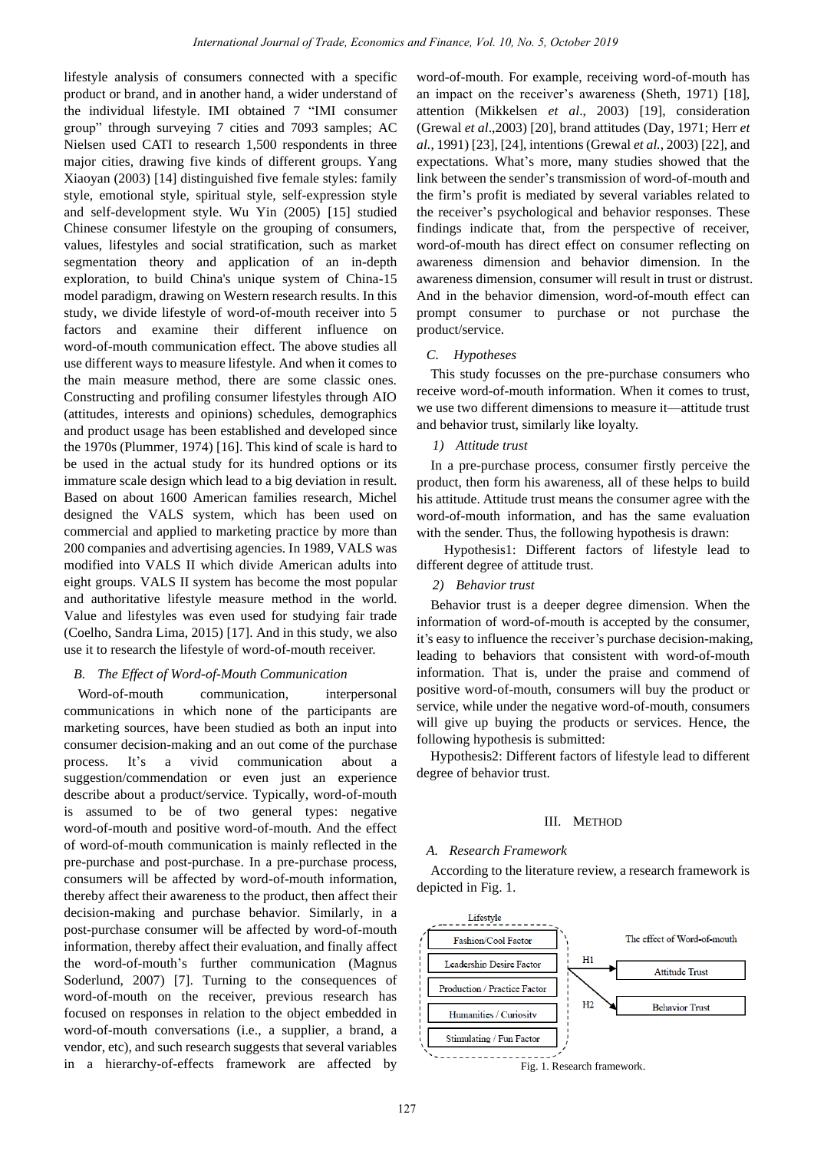lifestyle analysis of consumers connected with a specific product or brand, and in another hand, a wider understand of the individual lifestyle. IMI obtained 7 "IMI consumer group" through surveying 7 cities and 7093 samples; AC Nielsen used CATI to research 1,500 respondents in three major cities, drawing five kinds of different groups. Yang Xiaoyan (2003) [14] distinguished five female styles: family style, emotional style, spiritual style, self-expression style and self-development style. Wu Yin (2005) [15] studied Chinese consumer lifestyle on the grouping of consumers, values, lifestyles and social stratification, such as market segmentation theory and application of an in-depth exploration, to build China's unique system of China-15 model paradigm, drawing on Western research results. In this study, we divide lifestyle of word-of-mouth receiver into 5 factors and examine their different influence on word-of-mouth communication effect. The above studies all use different ways to measure lifestyle. And when it comes to the main measure method, there are some classic ones. Constructing and profiling consumer lifestyles through AIO (attitudes, interests and opinions) schedules, demographics and product usage has been established and developed since the 1970s (Plummer, 1974) [16]. This kind of scale is hard to be used in the actual study for its hundred options or its immature scale design which lead to a big deviation in result. Based on about 1600 American families research, Michel designed the VALS system, which has been used on commercial and applied to marketing practice by more than 200 companies and advertising agencies. In 1989, VALS was modified into VALS II which divide American adults into eight groups. VALS II system has become the most popular and authoritative lifestyle measure method in the world. Value and lifestyles was even used for studying fair trade (Coelho, Sandra Lima, 2015) [17]. And in this study, we also use it to research the lifestyle of word-of-mouth receiver.

## *B. The Effect of Word-of-Mouth Communication*

Word-of-mouth communication, interpersonal communications in which none of the participants are marketing sources, have been studied as both an input into consumer decision-making and an out come of the purchase process. It's a vivid communication about a suggestion/commendation or even just an experience describe about a product/service. Typically, word-of-mouth is assumed to be of two general types: negative word-of-mouth and positive word-of-mouth. And the effect of word-of-mouth communication is mainly reflected in the pre-purchase and post-purchase. In a pre-purchase process, consumers will be affected by word-of-mouth information, thereby affect their awareness to the product, then affect their decision-making and purchase behavior. Similarly, in a post-purchase consumer will be affected by word-of-mouth information, thereby affect their evaluation, and finally affect the word-of-mouth's further communication (Magnus Soderlund, 2007) [7]. Turning to the consequences of word-of-mouth on the receiver, previous research has focused on responses in relation to the object embedded in word-of-mouth conversations (i.e., a supplier, a brand, a vendor, etc), and such research suggests that several variables in a hierarchy-of-effects framework are affected by

word-of-mouth. For example, receiving word-of-mouth has an impact on the receiver's awareness (Sheth, 1971) [18], attention (Mikkelsen *et al*., 2003) [19], consideration (Grewal *et al*.,2003) [20], brand attitudes (Day, 1971; Herr *et al.*, 1991) [23], [24], intentions (Grewal *et al.*, 2003) [22], and expectations. What's more, many studies showed that the link between the sender's transmission of word-of-mouth and the firm's profit is mediated by several variables related to the receiver's psychological and behavior responses. These findings indicate that, from the perspective of receiver, word-of-mouth has direct effect on consumer reflecting on awareness dimension and behavior dimension. In the awareness dimension, consumer will result in trust or distrust. And in the behavior dimension, word-of-mouth effect can prompt consumer to purchase or not purchase the product/service.

## *C. Hypotheses*

This study focusses on the pre-purchase consumers who receive word-of-mouth information. When it comes to trust, we use two different dimensions to measure it—attitude trust and behavior trust, similarly like loyalty.

## *1) Attitude trust*

In a pre-purchase process, consumer firstly perceive the product, then form his awareness, all of these helps to build his attitude. Attitude trust means the consumer agree with the word-of-mouth information, and has the same evaluation with the sender. Thus, the following hypothesis is drawn:

Hypothesis1: Different factors of lifestyle lead to different degree of attitude trust.

### *2) Behavior trust*

Behavior trust is a deeper degree dimension. When the information of word-of-mouth is accepted by the consumer, it's easy to influence the receiver's purchase decision-making, leading to behaviors that consistent with word-of-mouth information. That is, under the praise and commend of positive word-of-mouth, consumers will buy the product or service, while under the negative word-of-mouth, consumers will give up buying the products or services. Hence, the following hypothesis is submitted:

Hypothesis2: Different factors of lifestyle lead to different degree of behavior trust.

#### III. METHOD

#### *A. Research Framework*

According to the literature review, a research framework is depicted in Fig. 1.



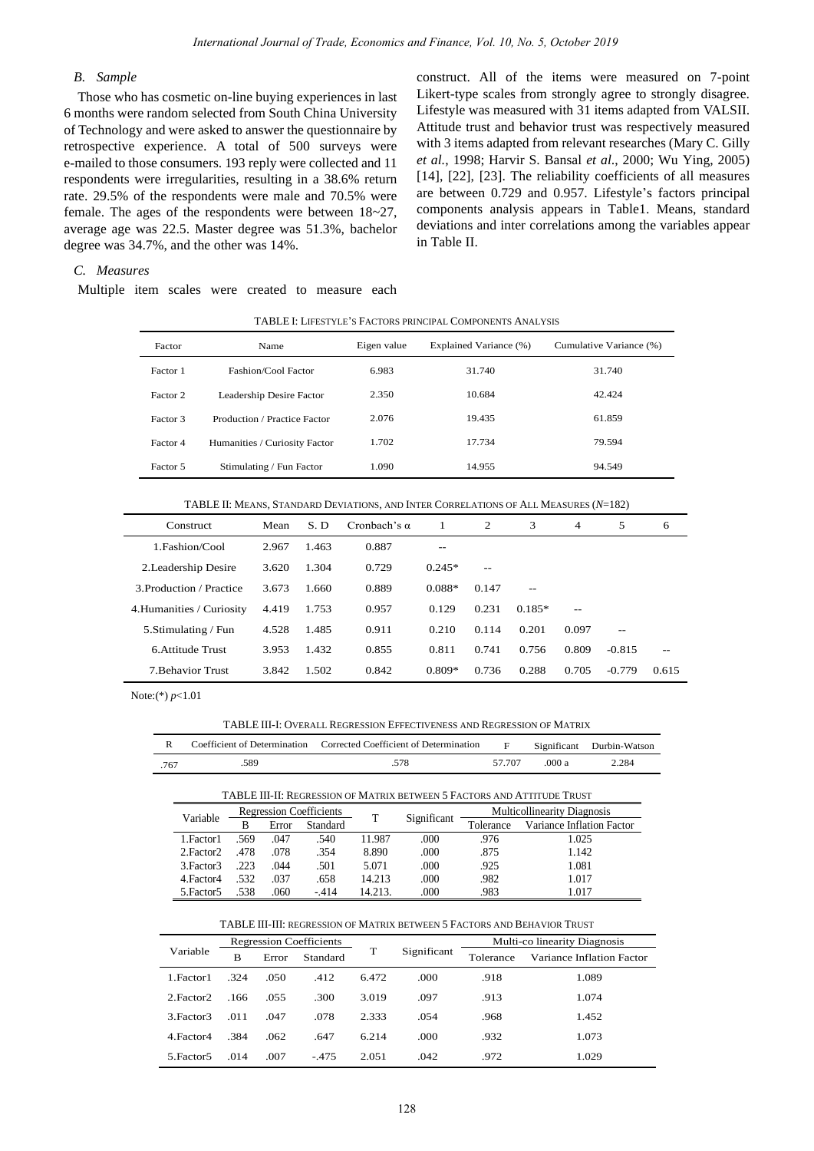## *B. Sample*

Those who has cosmetic on-line buying experiences in last 6 months were random selected from South China University of Technology and were asked to answer the questionnaire by retrospective experience. A total of 500 surveys were e-mailed to those consumers. 193 reply were collected and 11 respondents were irregularities, resulting in a 38.6% return rate. 29.5% of the respondents were male and 70.5% were female. The ages of the respondents were between 18~27, average age was 22.5. Master degree was 51.3%, bachelor degree was 34.7%, and the other was 14%.

construct. All of the items were measured on 7-point Likert-type scales from strongly agree to strongly disagree. Lifestyle was measured with 31 items adapted from VALSII. Attitude trust and behavior trust was respectively measured with 3 items adapted from relevant researches (Mary C. Gilly *et al.*, 1998; Harvir S. Bansal *et al*., 2000; Wu Ying, 2005) [14], [22], [23]. The reliability coefficients of all measures are between 0.729 and 0.957. Lifestyle's factors principal components analysis appears in Table1. Means, standard deviations and inter correlations among the variables appear in Table II.

## *C. Measures*

Multiple item scales were created to measure each

| Factor   | Name                          | Eigen value | Explained Variance (%) | Cumulative Variance (%) |
|----------|-------------------------------|-------------|------------------------|-------------------------|
| Factor 1 | Fashion/Cool Factor           | 6.983       | 31.740                 | 31.740                  |
| Factor 2 | Leadership Desire Factor      | 2.350       | 10.684                 | 42.424                  |
| Factor 3 | Production / Practice Factor  | 2.076       | 19.435                 | 61.859                  |
| Factor 4 | Humanities / Curiosity Factor | 1.702       | 17.734                 | 79.594                  |
| Factor 5 | Stimulating / Fun Factor      | 1.090       | 14.955                 | 94.549                  |

| Construct                 | Mean  | S.D   | Cronbach's $\alpha$ | 1        | 2     | 3        | $\overline{4}$ | 5        | 6     |
|---------------------------|-------|-------|---------------------|----------|-------|----------|----------------|----------|-------|
| 1. Fashion/Cool           | 2.967 | 1.463 | 0.887               | --       |       |          |                |          |       |
| 2. Leadership Desire      | 3.620 | 1.304 | 0.729               | $0.245*$ | $-$   |          |                |          |       |
| 3 Production / Practice   | 3.673 | 1.660 | 0.889               | $0.088*$ | 0.147 | $-$      |                |          |       |
| 4. Humanities / Curiosity | 4.419 | 1.753 | 0.957               | 0.129    | 0.231 | $0.185*$ | $-$            |          |       |
| 5. Stimulating / Fun      | 4.528 | 1.485 | 0.911               | 0.210    | 0.114 | 0.201    | 0.097          | $-$      |       |
| 6 Attitude Trust          | 3.953 | 1.432 | 0.855               | 0.811    | 0.741 | 0.756    | 0.809          | $-0.815$ | $-$   |
| 7. Behavior Trust         | 3.842 | 1.502 | 0.842               | $0.809*$ | 0.736 | 0.288    | 0.705          | $-0.779$ | 0.615 |

TABLE II: MEANS, STANDARD DEVIATIONS, AND INTER CORRELATIONS OF ALL MEASURES (*N*=182)

Note:(\*) *p*<1.01

TABLE III-I: OVERALL REGRESSION EFFECTIVENESS AND REGRESSION OF MATRIX

|      |      | Coefficient of Determination Corrected Coefficient of Determination | $\mathbf{F}$ . The set of $\mathbf{F}$ |        | Significant Durbin-Watson |
|------|------|---------------------------------------------------------------------|----------------------------------------|--------|---------------------------|
| .767 | .589 | 578                                                                 | 57 707                                 | .000 a | 2.284                     |

| TABLE III-II: REGRESSION OF MATRIX BETWEEN 5 FACTORS AND ATTITUDE TRUST |                                |       |          |         |                                    |           |                           |  |  |
|-------------------------------------------------------------------------|--------------------------------|-------|----------|---------|------------------------------------|-----------|---------------------------|--|--|
| Variable                                                                | <b>Regression Coefficients</b> |       |          |         | <b>Multicollinearity Diagnosis</b> |           |                           |  |  |
|                                                                         | В                              | Error | Standard |         | Significant                        | Tolerance | Variance Inflation Factor |  |  |
| 1. Factor 1                                                             | .569                           | .047  | .540     | 11.987  | .000                               | .976      | 1.025                     |  |  |
| 2. Factor 2                                                             | .478                           | .078  | .354     | 8.890   | .000                               | .875      | 1.142                     |  |  |
| 3. Factor 3                                                             | .223                           | .044  | .501     | 5.071   | .000                               | .925      | 1.081                     |  |  |
| 4. Factor 4                                                             | .532                           | .037  | .658     | 14.213  | .000                               | .982      | 1.017                     |  |  |
| 5. Factor 5                                                             | 538                            | .060  | $-414$   | 14.213. | .000                               | .983      | l 017                     |  |  |

|             | <b>Regression Coefficients</b> |       |          |       |             | Multi-co linearity Diagnosis |                           |  |
|-------------|--------------------------------|-------|----------|-------|-------------|------------------------------|---------------------------|--|
| Variable    | B                              | Error | Standard | т     | Significant | Tolerance                    | Variance Inflation Factor |  |
| 1. Factor 1 | .324                           | .050  | .412     | 6.472 | .000        | .918                         | 1.089                     |  |
| 2. Factor 2 | .166                           | .055  | .300     | 3.019 | .097        | .913                         | 1.074                     |  |
| 3. Factor 3 | .011                           | .047  | .078     | 2.333 | .054        | .968                         | 1.452                     |  |
| 4. Factor 4 | .384                           | .062  | .647     | 6.214 | .000        | .932                         | 1.073                     |  |
| 5. Factor 5 | .014                           | .007  | $-475$   | 2.051 | .042        | .972                         | 1.029                     |  |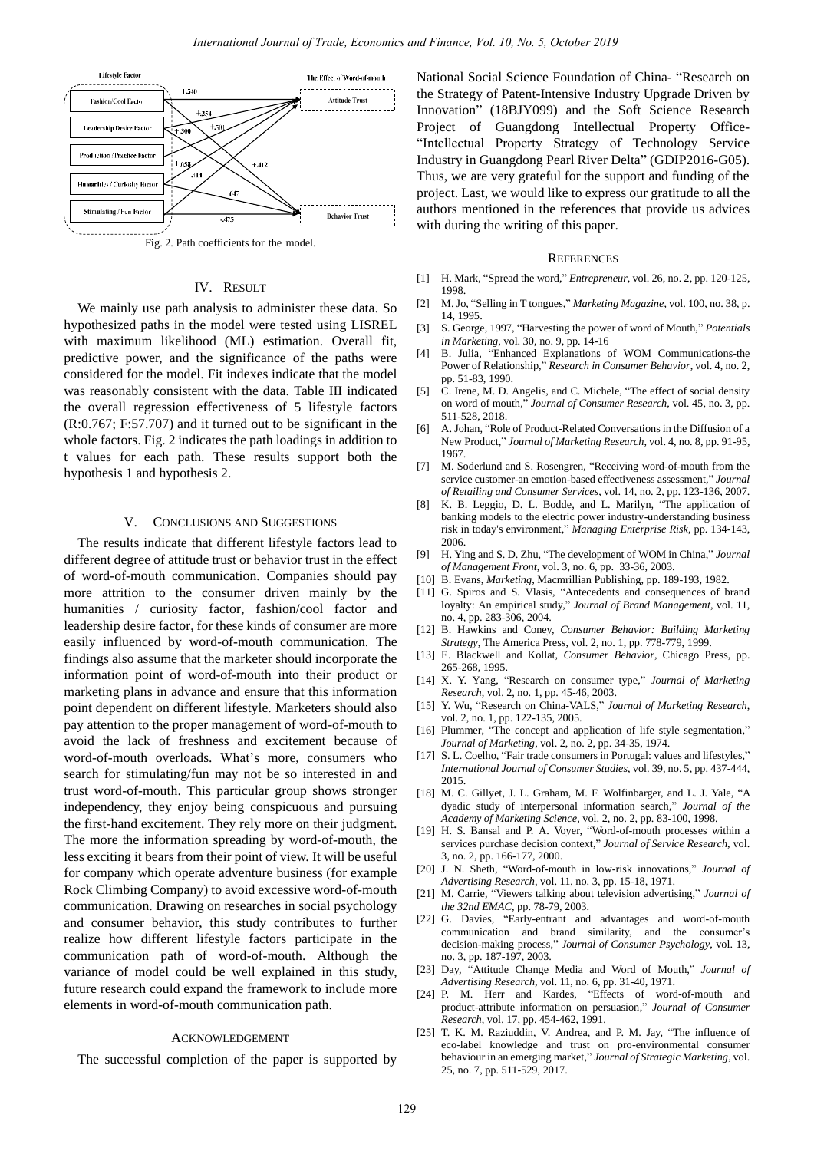

Fig. 2. Path coefficients for the model.

#### IV. RESULT

We mainly use path analysis to administer these data. So hypothesized paths in the model were tested using LISREL with maximum likelihood (ML) estimation. Overall fit, predictive power, and the significance of the paths were considered for the model. Fit indexes indicate that the model was reasonably consistent with the data. Table III indicated the overall regression effectiveness of 5 lifestyle factors (R:0.767; F:57.707) and it turned out to be significant in the whole factors. Fig. 2 indicates the path loadings in addition to t values for each path. These results support both the hypothesis 1 and hypothesis 2.

#### V. CONCLUSIONS AND SUGGESTIONS

The results indicate that different lifestyle factors lead to different degree of attitude trust or behavior trust in the effect of word-of-mouth communication. Companies should pay more attrition to the consumer driven mainly by the humanities / curiosity factor, fashion/cool factor and leadership desire factor, for these kinds of consumer are more easily influenced by word-of-mouth communication. The findings also assume that the marketer should incorporate the information point of word-of-mouth into their product or marketing plans in advance and ensure that this information point dependent on different lifestyle. Marketers should also pay attention to the proper management of word-of-mouth to avoid the lack of freshness and excitement because of word-of-mouth overloads. What's more, consumers who search for stimulating/fun may not be so interested in and trust word-of-mouth. This particular group shows stronger independency, they enjoy being conspicuous and pursuing the first-hand excitement. They rely more on their judgment. The more the information spreading by word-of-mouth, the less exciting it bears from their point of view. It will be useful for company which operate adventure business (for example Rock Climbing Company) to avoid excessive word-of-mouth communication. Drawing on researches in social psychology and consumer behavior, this study contributes to further realize how different lifestyle factors participate in the communication path of word-of-mouth. Although the variance of model could be well explained in this study, future research could expand the framework to include more elements in word-of-mouth communication path.

#### ACKNOWLEDGEMENT

The successful completion of the paper is supported by

National Social Science Foundation of China- "Research on the Strategy of Patent-Intensive Industry Upgrade Driven by Innovation" (18BJY099) and the Soft Science Research Project of Guangdong Intellectual Property Office- "Intellectual Property Strategy of Technology Service Industry in Guangdong Pearl River Delta" (GDIP2016-G05). Thus, we are very grateful for the support and funding of the project. Last, we would like to express our gratitude to all the authors mentioned in the references that provide us advices with during the writing of this paper.

#### **REFERENCES**

- [1] H. Mark, "Spread the word," *Entrepreneur*, vol. 26, no. 2, pp. 120-125, 1998.
- [2] M. Jo, "Selling in T tongues," *Marketing Magazine*, vol. 100, no. 38, p. 14, 1995.
- [3] S. George, 1997, "Harvesting the power of word of Mouth," *Potentials in Marketing*, vol. 30, no. 9, pp. 14-16
- [4] B. Julia, "Enhanced Explanations of WOM Communications-the Power of Relationship," *Research in Consumer Behavior*, vol. 4, no. 2, pp. 51-83, 1990.
- [5] C. Irene, M. D. Angelis, and C. Michele, "The effect of social density on word of mouth," *Journal of Consumer Research*, vol. 45, no. 3, pp. 511-528, 2018.
- [6] A. Johan, "Role of Product-Related Conversations in the Diffusion of a New Product," *Journal of Marketing Research*, vol. 4, no. 8, pp. 91-95, 1967.
- [7] M. Soderlund and S. Rosengren, "Receiving word-of-mouth from the service customer-an emotion-based effectiveness assessment," *Journal of Retailing and Consumer Services*, vol. 14, no. 2, pp. 123-136, 2007.
- [8] K. B. Leggio, D. L. Bodde, and L. Marilyn, "The application of banking models to the electric power industry-understanding business risk in today's environment," *Managing Enterprise Risk*, pp. 134-143, 2006.
- [9] H. Ying and S. D. Zhu, "The development of WOM in China," *Journal of Management Front*, vol. 3, no. 6, pp. 33-36, 2003.
- [10] B. Evans, *Marketing*, Macmrillian Publishing, pp. 189-193, 1982.
- [11] G. Spiros and S. Vlasis, "Antecedents and consequences of brand loyalty: An empirical study," *Journal of Brand Management*, vol. 11, no. 4, pp. 283-306, 2004.
- [12] B. Hawkins and Coney, *Consumer Behavior: Building Marketing Strategy*, The America Press, vol. 2, no. 1, pp. 778-779, 1999.
- [13] E. Blackwell and Kollat, *Consumer Behavior*, Chicago Press, pp. 265-268, 1995.
- [14] X. Y. Yang, "Research on consumer type," *Journal of Marketing Research*, vol. 2, no. 1, pp. 45-46, 2003.
- [15] Y. Wu, "Research on China-VALS," *Journal of Marketing Research*, vol. 2, no. 1, pp. 122-135, 2005.
- [16] Plummer, "The concept and application of life style segmentation," *Journal of Marketing*, vol. 2, no. 2, pp. 34-35, 1974.
- [17] S. L. Coelho, "Fair trade consumers in Portugal: values and lifestyles," *International Journal of Consumer Studies*, vol. 39, no. 5, pp. 437-444, 2015.
- [18] M. C. Gillyet, J. L. Graham, M. F. Wolfinbarger, and L. J. Yale, "A dyadic study of interpersonal information search," *Journal of the Academy of Marketing Science*, vol. 2, no. 2, pp. 83-100, 1998.
- [19] H. S. Bansal and P. A. Voyer, "Word-of-mouth processes within a services purchase decision context," *Journal of Service Research*, vol. 3, no. 2, pp. 166-177, 2000.
- [20] J. N. Sheth, "Word-of-mouth in low-risk innovations," *Journal of Advertising Research*, vol. 11, no. 3, pp. 15-18, 1971.
- [21] M. Carrie, "Viewers talking about television advertising," *Journal of the 32nd EMAC*, pp. 78-79, 2003.
- [22] G. Davies, "Early-entrant and advantages and word-of-mouth communication and brand similarity, and the consumer's decision-making process," *Journal of Consumer Psychology*, vol. 13, no. 3, pp. 187-197, 2003.
- [23] Day, "Attitude Change Media and Word of Mouth," *Journal of Advertising Research*, vol. 11, no. 6, pp. 31-40, 1971.
- [24] P. M. Herr and Kardes, "Effects of word-of-mouth and product-attribute information on persuasion," *Journal of Consumer Research*, vol. 17, pp. 454-462, 1991.
- [25] T. K. M. Raziuddin, V. Andrea, and P. M. Jay, "The influence of eco-label knowledge and trust on pro-environmental consumer behaviour in an emerging market," *Journal of Strategic Marketing*, vol. 25, no. 7, pp. 511-529, 2017.